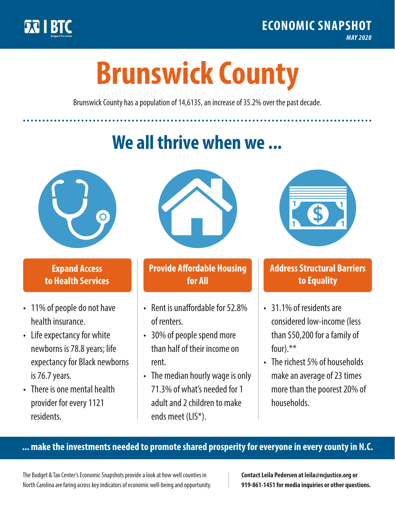

**1**

# **Brunswick County**

Brunswick County has a population of 14,6135, an increase of 35.2% over the past decade.

# **We all thrive when we ...**



**\$ <sup>1</sup>**

**\$ <sup>1</sup>**

## **Expand Access to Health Services**

- 11% of people do not have health insurance.
- Life expectancy for white newborns is 78.8years; life expectancy for Black newborns is 76.7 years.
- There is one mental health provider for every 1121 residents.



## **Provide Affordable Housing for All**

- Rent is unaffordable for 52.8% of renters.
- 30% of people spend more than half of their income on rent.
- The median hourly wage is only 71.3% of what's needed for 1 adult and 2 children to make ends meet (LIS\*).



## **Address Structural Barriers to Equality**

- 31.1% of residents are considered low-income (less than \$50,200 for a family of four).\*\*
- The richest 5% of households make an average of 23 times more than the poorest 20% of households.

#### **... make the investments needed to promote shared prosperity for everyone in every county in N.C.**

The Budget & Tax Center's Economic Snapshots provide a look at how well counties in North Carolina are faring across key indicators of economic well-being and opportunity.